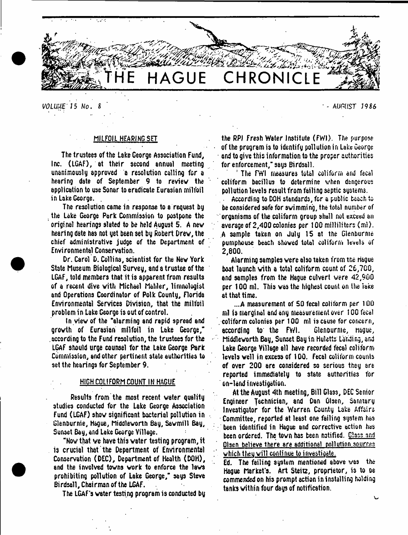

*VOLUUB'15* **Wo.** *S* - AUGUST *19 U*

# MILFOIL HEARING SET

The trustees of the Leke George Association Fund, Inc. (LGAF), at their second annual meeting unanimously approved a resolution calling for a hearing date of September 9 to review the application to use Sonar to eradicate Eurasian milfoil in Lake George.

The resolution came in response to a request by the Lake George Park Commission to postpone the original hearings slated to be held August 5. A new hearing date has not yet been set by Robert Drew, the chief administrative judge of the Department of Environmental Conservation.

Dr. Carol D. Collins, scientist for the New York State Museum Biological Survey, and a trustee of the LGAF, told members that it is apparent from results of a recent dive with Michael Mahler, limnologist and Operations Coordinator of Polk County, Florida Environmental Services Division, that the milfoil problem in Lake George is out of control.

In view of the 'alarming and rapid spread and growth of Eurasian milfoil in Lake George," according to the Fund resolution, the trustees for the LGAF should urge counsel for the Lake George Park Commission, and other pertinent state authorities to set the hearings for September 9.

#### HIGH COLIFORM COUNT IN HAGUE

Results from the most recent water quality studies conducted for the Lake George Association Fund (LGAF) show significant bacterial pollution in Glenburnie, Hague, hiddleworth Bay, Sawmill Bay, Sunset Bay, and Lake George Village.

"Now that ve have this water testing program, it is crucial that the Department of Environmental Conservation (DEC), Department of Health (DOH), and the involved towns work to enforce the laws prohibiting pollution of Lake George," says Steve Birdsall, Chairman of the LGAF.

The LGAF's water testing program is conducted by

the RPI Fresh Water Institute (FWI). The purpose of the program is to identify pollution in Lake George and to give this information to the proper authorities for enforcement," says Birdsall.

1 The FWI measures total coliform and fecal coliform bacillus to determine when dangerous pollution levels result from failing septic systems.

According to DOH standards, for a public beach to be considered safe for swimming, the total number of organisms of the coliforrn group shall not exceed an average of 2,400 colonies per 100 milliliters (ml). A sample taken on July 15 at the Glenburnie pumphouse beach showed total coliform levels of 2,800.

Alarming samples were also taken from tne Hague boat launch with a total coliform count of 26,700, and samples from the Hague culvert were 42,900 per 100 ml. This was the highest count on the iake at that time.

*...A* measurement of 50 fecal coliform per 100 ml is marginal arid any measurement over 100 fecal coliform colonies per 100 ml is cause for concern, according to the FWI. Glenburnie, Hague, Middlevorth Bay, Sunset Bay in Huletts Landing, and Lake George Village all have recorded fecal coliform levels well in excess of 100. Fecal coliforrn counts of over 200 are considered so serious they are reported immediately to state authorities for on-land investigation.

At the August 4th meeting, Bill Glass, DEC Senior Engineer Technician, and Dan Olsen, Samtary Investigator for the Warren County Lake Affairs Committee, reported at least one failing system has been identified in Hague and corrective action has been ordered. The town has been notified. Glass and Olsen believe there are additional pollution sources which they will continue to investigate.

Ed. The failing system mentioned above was the Hague Market's. Art Steitz, proprietor, is to be commended on his prompt action in installing holding tanks within four days of notification.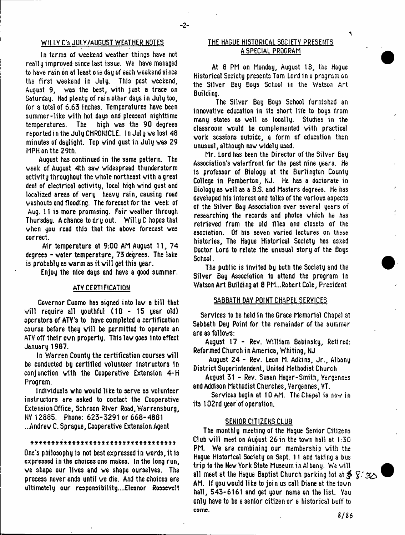In terms of weekend weather things have not really improved since last issue. We have managed to have rain bn at least one day of each weekend since the first weekend in July. This past weekend, August 9, was the best, with just a trace on Saturday. Had plenty of rain other days in July too, for a total of 6.63 inches. Temperatures have been summer-like with hot days and pleasant nighttime temperatures. The high was the 90 degrees reported in the July CHRONICLE. In July we lost 48 minutes of daylight. Top wind gust in July was 29 MPH on the 29th.

August has continued in the same pattern. The week of August 4th saw widespread thunderstorm activity throughout the whole northeast with a great deal of electrical activity, local high wind gust and localized areas of very heavy rain, causing road washouts and flooding. The forecast for the week of Aug. 11 is more promising. Fair weather through Thursday. A chance to dry out. Willy C hopes that when you read this that the above forecast was correct.

Air temperature at 9:00 AM August 11, 74 degrees - water temperature, 73 degrees. The lake is probably as warm as it will get this year.

Enjoy the nice days and have a good summer.

### ATV CERTIFICATION

Governor Cuomo has signed into lav a bill that will require all youthful  $(10 - 15$  year old) operators of ATY's to have completed a certification course before they will be permitted to operate an ATY off their own property. This law goes into effect January 1967.

In Warren County the certification courses will be conducted by certified volunteer Instructors In conjunction with the Cooperative Extension 4-H Program.

Individuals who would like to serve as volunteer instructors are asked to contact the Cooperative Extension Office, Schroon River Road, Warrensburg, NY 12885. Phone: 623-3291 or 668-4881 ...Andrew C. Sprague, Cooperative Extension Agent

# \* \* \* \* \* \* \* \* \* \* \* \* \* \* \* \* \* \* \* \* \* \* \* \* \* \* \* \* \* \* \* \* \* \* \*

One's philosophy is not best expressed in words, it is expressed in the choices one makes. In the long run, we shape our lives and we shape ourselves. The process never ends until we die. And the choices are ultimately our responsibility....Eleonor Roosevelt

# WILLY C'S JULY/AUGUST WEATHER NOTES THE HAGUE HISTORICAL SOCIETY PRESENTS A SPECIAL PROGRAM

 $\blacktriangleleft$ 

At 8 PM on Monday, August 18, the Hague Historical Society presents Tom Lord in a program on the Silver Bay Boys School in the Watson Art Buildi ng.

The Silver Bay Boys School furnished an innovative education in its short life to boys from many states as veil as locally. Studies in the classroom would be complemented with practical work sessions outside, a form of education then unusual, although now widely used.

Mr. Lord has been the Director of the Silver Bay Association's waterfront for the past nine years. He is professor of Biology at the Burlington County College in Pemberton, NJ. He has a doctorate in Biology as well as a B.S. and Masters degrees. He has developed his interest and talks of the various aspects of the Silver Bay Association over several years of researching the records and photos which he has retrieved from the old files and closets of the asociation. Of his seven varied lectures on these histories. The Hague Historical Society has asked Doctor Lord to relate the unusual story of the Boys School.

The public is Invited by both the Society and the Silver Bay Association to attend the program in Watson Art Building at 8 PM...Robert Cole, President

## SABBATH DAY POINT CHAPEL SERVICES

Services to be held in the Grace Memorial Chapel at Sabbath Day Point for the remainder of the summer are as follows:

August 17 - Rev. William Babinsky, Retired: Reformed Church in America, Whiting, NJ

August 24 - Rev. Leon M. Adkins, Jr., Albany District Superintendent, United Methodist Church

August 31 - Rev. Susan Hager-Smith, Yergennes and Addison Methodist Churches, Yergennes, VT.

Services begin at 10 AM. The Chapel is now in its 102nd year'of operation.

# SENIOR CITIZENS CLUB

The monthly meeting of the Hague Senior Citizens Club will meet on August 26 in the town hall at 1:50 PM. We are combining our membership with the Hague Historical Society on Sept. 11 and taking a bus trip to the New York State Museum in Albany. We will all meet at the Hague Baptist Church parking lot at *§>* AM. If you would like to join us call Diane at the town hall, 543-6161 and get your name on the list. You only have to be a senior citizen or a historical buff to come.

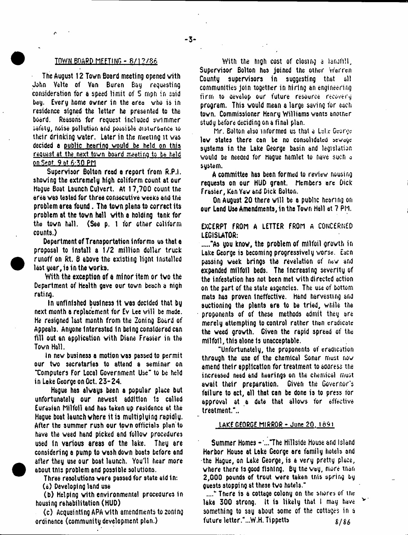### **IOWN BOARD MEETING - 8/12/86**

The August 12 Town Board meeting opened with John Velte of Van Buren Bay requesting consideration for a speed limit of 5 mph in said bay. Every home owner in the area who is in residence signed the letter he presented to the board. Reasons for request included swimmer safety, noise pollution and possible disturbance to their drinking water. Later in the meeting it was decided a public hearing would be held on this request at the next town board meeting to be held on-Sept. 9 at 6:50 PM

Supervisor Bolton read a report from R.P.I. showing the extremely high coliform count at our Hague Boat Launch Culvert. At 17,700 count the area was tested for three consecutive weeks and the problem area found. The town plans to correct its problem at the town hall with a holding tank for the town hall. (Sea p. 1 for other coliform counts.)

Department of Transportation informs us that a proposal to Install a 1/2 million dollar truck runoff on Rt. 8 above the existing lignt installed last year, is in the works.

With the exception of a minor item or two the Department of Health gave our town beach a nigh rating.

In unfinished business It was decided that by next month a replacement for Ev Lee will be made. He resigned last month from the Zoning Board of Appeals. Anyone Interested In being considered can fill out an application with Diane Frasier in the Town Hall.

In new business a motion was passed to permit our two secretaries to attend a seminar on Tomputers For Local Government Use" to be held in Lake George on Oct. 23-24.

Hague has always been a popular place but unfortunately our newest addition is called Eurasian Milfoil and has taken up residence at the Hague boat launch where it is multiplying rapidly. After the summer rush our town officials plan to have the weed hand picked and follow procedures used tn various areas of the lake. They are considering a pump to wash down boats before end after they use our boat launch. You'll hear more about tnts problem and possible solutions.

Three resolutions were passed for etate aid in: (a) Developing land use

(b) Helping with environmental procedures in housing rehabilitation (HUD)

(c) Acquainting A PA with amendments to zoning ordinance (community development plan.)

With the mgh cost of closing a langfill, Supervisor Bolton has joined the other warren County supervisors in suggesting that all communities join together in hiring an engineering firm to Gevelop our future resource recovery program. This would mean a large saving for each town. Commissioner Henry Williams wants another study before deciding on a final plan.

Mr. Bolton also informed us that a Lake George law states there can be no consolidated sewage systems in the Lake George basin and legislation would be needed for Hague hamlet to nave such o system.

A committee has been formed to review housing requests on our HUD grant. Members arc Dick Frasier, Ken Yaw and Dick Bolton.

On August 20 there will be a public hearing on our Lend Use Amendments, In the Town Hall at 7 PM.

EXCERPT FROM A LETTER FROM A CONCERNED LEGISLATOR:

....."As you know, the problem of milfoil growth in Lake George is becoming progressively worse. Each passing week brings the revelation of new end expanded milfoil beds. The Increasing severity of the infestation has not been met with directed action on the part of the state asgencies. The use of bottom mats has proven Ineffective, hand harvesting and auctioning the plants are to be tried, while the proponents of of these methods admit they are merely attempting to control rather tnan eradicate the weed growth. Given the rapid spread of the milfoil, this alone Is unacceptable.

"Unfortunately, the proponents of eradication through the use of the chemical Sonar must now amend their application for treatment to address the increased need and hearings on the chemical must await their preparation. Given the Governor's failure to act, all that can be done is to press for approval at a data that allows for affective treatment."..

LAKE GEORGE MIRROR - June 20. 1691

Summer Homes - '..."The Hillside House and Island Harbor House at Lake George are family hotels and •the Hague, on Lake George, is a very pretty place, where there Is good fishing. By the way, more tnan 2,000 pounds of trout ware taken tnis spring by guests stopping at these two hotels."

Tnere is a cottage colony on the snores of the lake 300 strong. It is likely that I may have something to say about some of the cottages in a future letter."...W.H. Tippetts $8/86$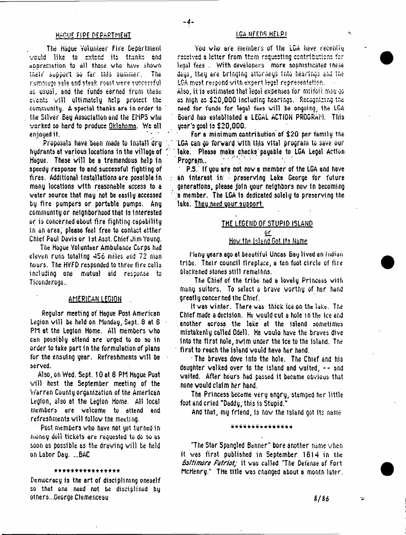### HAOUE FI PE DEPARTMENT

The Hague Volunteer Fire Department weuld like to extend its thanks and appreciation to all those who have shown their support so far this summer. The rummede sele end steek roast were successful as usual, and the funds earned from these events will ultimately help protect the community. A special thanks are in order to the Silver Bau Association and the EMPS who worked :o hard to produce Oklahoma. We all enjoyed it.

Proposals have been made to Install dry hydrants at various locations In the village of Hague. These will be a tremendous help in speedy response to and successful fighting of fires. Additional installations are possible in many locations with reasonable access to a water source that may not be easily accessed by fire pumpers or portable pumps. Any community or neighborhood that is interested or is concerned about fire fighting capability in an area, please feel free to contact either Chief Paul Davis or 1st As3t. Chief Jim Young.

The Hague Volunteer Ambulance Corps had eleven runs totaling 456 miles and 72 man hours. The HVFD responded to three fire calls including one mutual aid response to Ticonderoga..

# AMERICAN LEGION .

Regular meeting of Hague Post American Legion will be held on Monday, Sept. 8 at 6 PM at the Legion Home. All members who can possibly attend are urged to do so in order to take part in the formulation of plans for the ensuing year. Refreshments will be served.

Also, on Wed. Sept. 10 at 8 PM Hague Post will host the September meeting of the Warren County organization of the American Legion, also at the Legion Horne. All local members are welcome to attend and refreshments will follow the meeting.

Post members who have not yet turned in money doll tickets are requested to do so as soon as possible as the drawing will be held on Labor Day. ...6AC

# \* \* \* \* \* \* \* \* \* \* \* \* \* \* \* \*

Democracy is the art of disciplining oneself so that one need not be disciplined by others...George Clemenceau

#### LCA NFED5 HELP!

 $\Delta$ 

You who are members of the LGA have recentive received a letter from them requesting contribution: fcr leqal fees . With developers more sophisticated tnese days, they are bringing attorneys into hearings ana the LGA must respond with expert legal representation.

Also, it is estimated that legal expenses for milfoli may oo c: high os \$20,000 including hearings. Recognizing the need for funds for legal fees will be ongoing, the LCA Board has established a LEGAL ACTION PROGRAM. This year': goal is \$20,000.

For a minimum contribution of \$20 per family the LGA can go forward with this vital program to save our lake. Please make checks'payable to LGA Legal Action Program..

P.3. If you are not now a member of the LGA and have an interest in' preserving Lake George for future generations, please Join your neighbors now In becoming a member. The LGA is dedicated solely to preserving the lake. Theu need uour support.

# THE LEGEND OF STUPID ISLAND or

# How the Island Got Its Name

Many years ago at beautiful Uncas Bay lived an Indian tribe. Their council fireplace, a ten foot circle of fire blackened stones still remalhns.

The Chief of the tribe had a lovely Princess with many suitors. To select a brave worthy of her hand greatly concerned the Chief.

It was winter. There was thick ice on the lake. The Chief made a decision. He would cut a hole in the ice and another ocross the lake at the island sometimes mistakenly called Odell. He voulo have the braves dive into the first hole, swim under the Ice to the Island. The first to reach the island would have her hand.

The braves dove into the hole. The Chief and his daughter walked over to the island and waited, -- and waited. After hours had passed it became obvious that none would claim her hand.

The Princess became very angry, stamped her little foot and cried "Daddy, this is Stupid."

And that, my friend, Is now the island got its name

#### \*\*\*\*\*\*\*\*\*\*\*\*\*\*\*

"The Star Spangled Banner" bore another name when it was first published in September 1614 in the *Baltimore Patriot;* it was called "The Defense of Fort McHenry." The title was changed about a month later.

*%IU*

Ŵ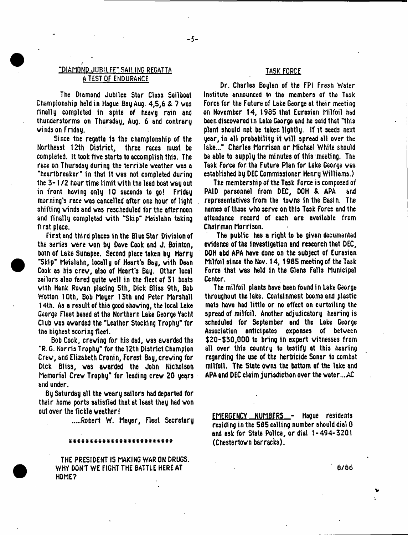# "DIAMOND JUBILEE" SAILING REGATTA A TEST OF ENDURANCE

The Diamond Jubilee Star Claes Sailboat Championship held in Hague Bay Aug. 4,5,6 & 7 was finally completed In spite of heavy rain and thunderstorms on Thursday, Aug. 6 and contrary winds on Friday.

Since the regatta is the championship of the Northeast 12th District, three races must be completed. It took five starts to accomplish this. The race on Thursday during the terrible weather was a "heartbreaker" in that it was not completed during the  $3-1/2$  hour time limit with the lead boat way out in front having only 10 seconds to go! Friday morning's race was cancelled after one hour of light shifting winds and was rescheduled for the afternoon and finally completed with "Skip" Meislahn taking first place.

First and third places in the Blue Star Division of the series were won by Dave Cook and J. Bointon, both of Lake Sunapee. Second place taken by Harry "Skip\* Meislahn, locally of Heart's Bay, with Dean Cook as his crew, also of Heart's Bay. Other local sailors also fared quite well in the fleet of 31 boats with Hank Rowan placing 5th, Dick Bliss 9th, Bob Wotton 10th, Bob Mayer 13th and Peter Marshall 14th. As a result of this good showing, the local Lake George Fleet based at the Northern Lake George Yacht Club was awarded the "Leather Stocking Trophy\* for the highest scoring fleet.

Bob Cook, crewing for his dad, was awarded the "R. G. Norris Trophy" for the 12th District Champion Crew, and Elizabeth Cronin, Forest Bay, crewing for Dick Bliss, was awarded the John Nicholson Memorial Crew Trophy" for leading crew 20 years and under.

By Saturday all the weary sailors had departed for their home ports satisfied that at least they had won out over the fickle weather!

Robert W. Mayer, Fleet Secretary

# \* \* \* \* \* \* \* \* \* \* \* \* \* \* \* \* \* \* \* \* \* \* \* \* \*

THE PRESIDENT IS MAKING WAR ON DRUGS. WHY DON'T WE FIGHT THE BATTLE HERE AT HOME?

# TASK FORCE

Dr. Charles Boylan of the FPI Fresh Water Institute announced t*n* the members of the Task Force for the Future of Lake George at their meeting on November 14, 1965 that Eurasian Milfoil had been discovered in Lake George and he said that "this plant should not be taken lightly. If it seeds next year, in all probability it will spread all over the lake..." Charles Morrison or Michael White should be able to supply the minutes of this meeting. The Task Force for the Future Plan for Lake George was established by DEC Commissioner Henry Williams.)

The membership of the Task Force is composed of PAID personnel from DEC, DOH & APA and representatives from the towns in the Basin. The names of those who serve on this Task Force and the attendance record of each are available from Chairman Morrison.

The public has a right to be given documented evidence of the investigation and research that DEC, DOH abd APA have done on the subject of Eurasian Milfoil since the Nov. 14, 1985 meeting of theTask Force that was held In the Glens Falls Municipal Center.

The milfoil plants have been found in Lake George throughout the lake. Containment booms and plastic mats have had little or no effect on curtailing the spread of milfoil. Another adjudicatory hearing is scheduled for September and the Lake George Association anticipates expenses of between \$20-\$30,000 to bring in expert witnesses from all over this country to testify at this hearing regarding the use of the herbicide Sonar to combat milfoil. The State owns the bottom of the lake and APA and DEC claim jurisdiction over the water....AC

EMERGENCY NUMBERS - Hague residents residing in the 585 calling number should dial 0 and ask for State Police, or dial 1-494-3201 (Chestertown barracks).

6/66

 $\bullet$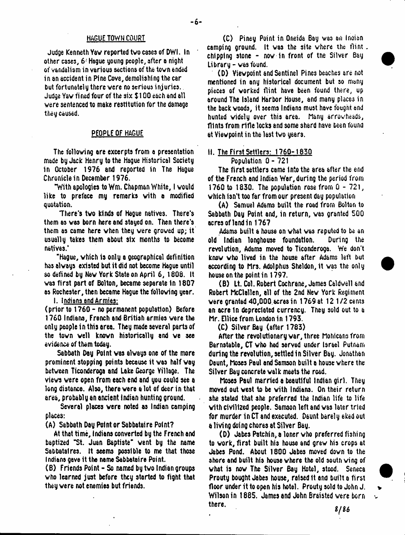#### HAGUE TOWN COURT

Judge Kenneth Yaw reported tvo cases of DWI. In other cases, 6 Hague young people, after a night of vandalism in various sections of the tovn ended in an accident in Pine Cove, demolishing the car but fortunately there vere no serious injuries. Judge Yav fined four of the six \$100 each and all were sentenced to make restitution for the damage they caused.

# PEOPLE OF HAGUE

The following are excerpts from a presentation made by Jack Henry to the Hague Historical Society 1n October 1976 and reported in The Hague Chronicle in December 1976.

"With apologies to Wm. Chapman White, I would like to preface my remarks with a modified quotation.

There's tvo kinds of Hague natives. There's them as was born here and stayed on. Then there's them as came here when they vere groved up; it usually takes them about six months to become natives.\*

"Hague, which is only a geographical definition has always existed but it did not become Hague until so defined by New York State on April 6, 1806. It was first part of Bolton, became separate in 1807 as Rochester, then became Hague the following year.

I. Indians and Armies:

(prior to 1760 - no permanent population) Before 1760 Indians, French and British armies vere the only people in this area. They made several parts of the tovn veil known historically and we see evidence of them today.

Sabbath Day Point was always one of the more prominent stopping points because it was half way between Ticonderoga and Lake George Village. The views were open from each end and you could see a long distance. Also, there were a lot of deer in that area, probably an ancient Indian hunting ground.

Several places vere noted as Indian camping places:

(A) Sabbath Day Point or Sabbataire Point?

At that time, Indians converted by the French and baptized "St. Juan Baptiste" vent by the name Sabbatalres. It seems possible to me that those Indians gave it the name Sabbataire Point.

(B) Friends Point - So named by tvo Indian groups who learned just before they storted to fight that they were not enemies but friends.

(C) Piney Point in Oneida Bay was an Inoian camping ground. It was the site where the flint. chipping stone - now in front of tne Silver Bay Library - was found.

(D) Viewpoint and Sentinel Pines beaches are not mentioned in any historical document but so many pieces of worked flint have been found there, up around The Island Harbor House, and many places in the backwoods, it seems Indians must have fought and hunted widely over this area. Many arrowheads, flints from rifle locks and some shard have been found at Viewpoint in the last two years.

# II. The First Settlers: 1760-1830

Population 0-721

The first settlers came Into the area after the end of the French and Indian War, during the period from 1760 to 1830. The population rose from 0 - 721, which isn't too far from our present day population

(A) Samuel Adams built the road from Bolton to Sabbath Day Point and, in return, was granted 500 acres of land in 1767

Adams built a house on what was reputed to be an old Indian longhouse foundation. During the revolution, Adams moved to Ticonderoga. We don't know who lived in the house after Adams left but according to Mrs. Adolphus Sheldon, it was the only house on the point in 1797.

(B) It. Col. Robert Cochrane, James Caldwell and Robert McClallen, all of the 2nd New York Regiment vere granted 40,OOO.acresin 1769at 12 1/2 cents an acre In depredated currency. They sold out to a Mr. Ellice from London in 1793.

(C) Silver Bay (after 1783)

After the revolutionary war, three Mohicans from Barnstable, CT who had served under Israel Putnam during the revolution, settled in Silver Bay. Jonathan Daunt, hoses Paul and Samson built a house where the Silver Bay concrete walk meets the road.

hoses Paul married e beautiful Indian girl. They moved out west to be with Indians. On their return she stated that she preferred the Indian life to life with civilized people. Samson left and was later tried for murder in CT and executed. Daunt barely eked out a living doing chores at Silver Bay.

(D) Jabes Patchin, a loner who preferred fishing to work, first built his house and grew his crops at Jabes Pond. About 1800 Jabes moved down to the shore and built his house where the old south wing of what is now The Silver Bay Hotel, stood. Seneca Prooty bought Jabes house, raised it ana built a first floor under it to open his hotel. Prouty sold to John J. Wilson in 1885. James and John Braisted vere born , h e r e - *s /u*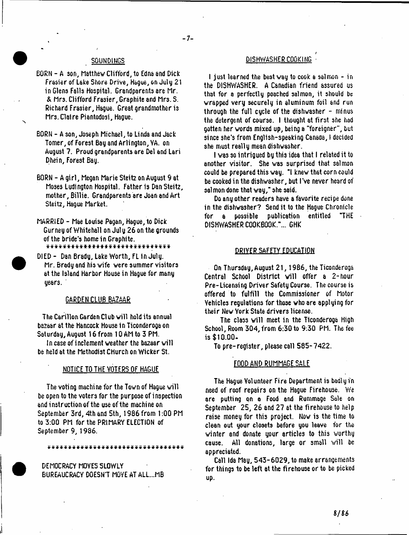# $-7-$

- BORN A son, Matthew Clifford, to Edna and Dick Frasier of Lake Shore Drive, Hague, on July 21 in Glens Falls Hospital. Grandparents are Mr. & Mrs. Clifford Frasier, Graphite and Mrs. S. Richard Frasier, Hague. Great grandmother is Mrs. Claire Piantodosi, Hague.
- BORN A son, Joseph Michael, to Linda and Jack Tomer, of Forest Bay and Arlington, VA. on August ?. Proud grandparents are Del and Lari Dhein, Forest Bay.
- BORN A girl, Megan Marie Steite on August 9 at Moses Ludington Hospital. Father is Dan Steitz, mother, Billie. Grandparents are Joan and Art Steitz, Hague Market.
- MARRIED Mae Louise Pagan, Hague, to Dick Gurney of Whitehall on July 26 on the grounds of the bride's home in Graphite.<br>\*\*\*\*\*\*\*\*\*\*\*\*\*\*\*\*\*\*\*\*\*\*\*\*\*\*\*\*\*\*\*
	-
- DIED Dan Brady, Lake Worth, FL in July. Mr. Brady and his vife vere summer visitors at the Island Harbor House in Hague for many years.

### GARDEN CLUB BAZAAR

The Carillon Garden Club will hold its annual bazaar at the Hancock House in Ticonderoga on Saturday, August 16 from 10 AM to 3 PM.

In case of inclement weather the bazaar will be held at the Methodist Church on Wicker St.

#### NOTICE TO THE VOTERS OF HAGUE

The voting machine for the Town of Hague will be open to the voters for the purpose of inspection and instruction of the use of the machine on September 3rd, 4th and 5th, 1986 from 1:00 PM to 3:00 PM for the PRIMARY ELECTION of September 9, 1936.

\*#«^«\* \* \* \* \* \* \* \* \* \* \* \* \* \* \* \* \* \* \* \* \* \* \* \* \* \* \* \*

DEMOCRACY MOVES SLOWLY BUREAUCRACY DOESN'T MOVE AT ALL...MB

# SOUNDINGS DISHWASHER COOKING

I just learned the best way to cook a salmon - in the DISHWASHER. A Canadian friend assured us that for a perfectly poached salmon, it should be wrapped very securely in aluminum foil and run through the full cycle of the dishwasher  $-$  minus the detergent of course. I thought at first she had gotten her words mixed up, being a "foreigner", but since she's from English-speaking Canada, I decided she must really mean dishwasher.

I was so intrigued by this idea that I related it to another visitor. She was surprised that salmon could be prepared this way. "I knew that corn could be cooked in the dishwasher, but I've never heard of salmon done that way," she said.

Do any other readers have a favorite recipe done in the dishwasher? Send it to the Hague Chronicle for a possible publication entitled "THE DISHWASHER COOKBOOK."... GHK

#### DRIVER SAFETY EDUCATION

On Thursday, August 21, 1986, the Ticonderoga Central School District will offer a 2-hour Pre-Licensing Driver Safety Course. The course is offered to fulfill the Commissioner of Motor Vehicles regulations for those who are applying for their New York State drivers license.

The class will meet in the Ticonderoga high School, Room 304, from 6:30 to 9:30 PM. The fee is \$10.00-

To pre-register, please call 585-7422.

#### FOOD AMD RUMMAGE SALE

The Hague Volunteer Fire Department is badly in need of roof repairs on the Hague Firehouse. We are putting on a Food and Rummage Sale on September 25, 26 and 27 at the firehouse to help raise money for this project. Now is the time to clean out your closets before you leave for the winter and donate your articles to this worthy cause. All donations, large or small will be appreciated.

Call Ida May, 543-6029, to make arrangements for things to be left at the firehouse or to be picked up.

 $8/86$